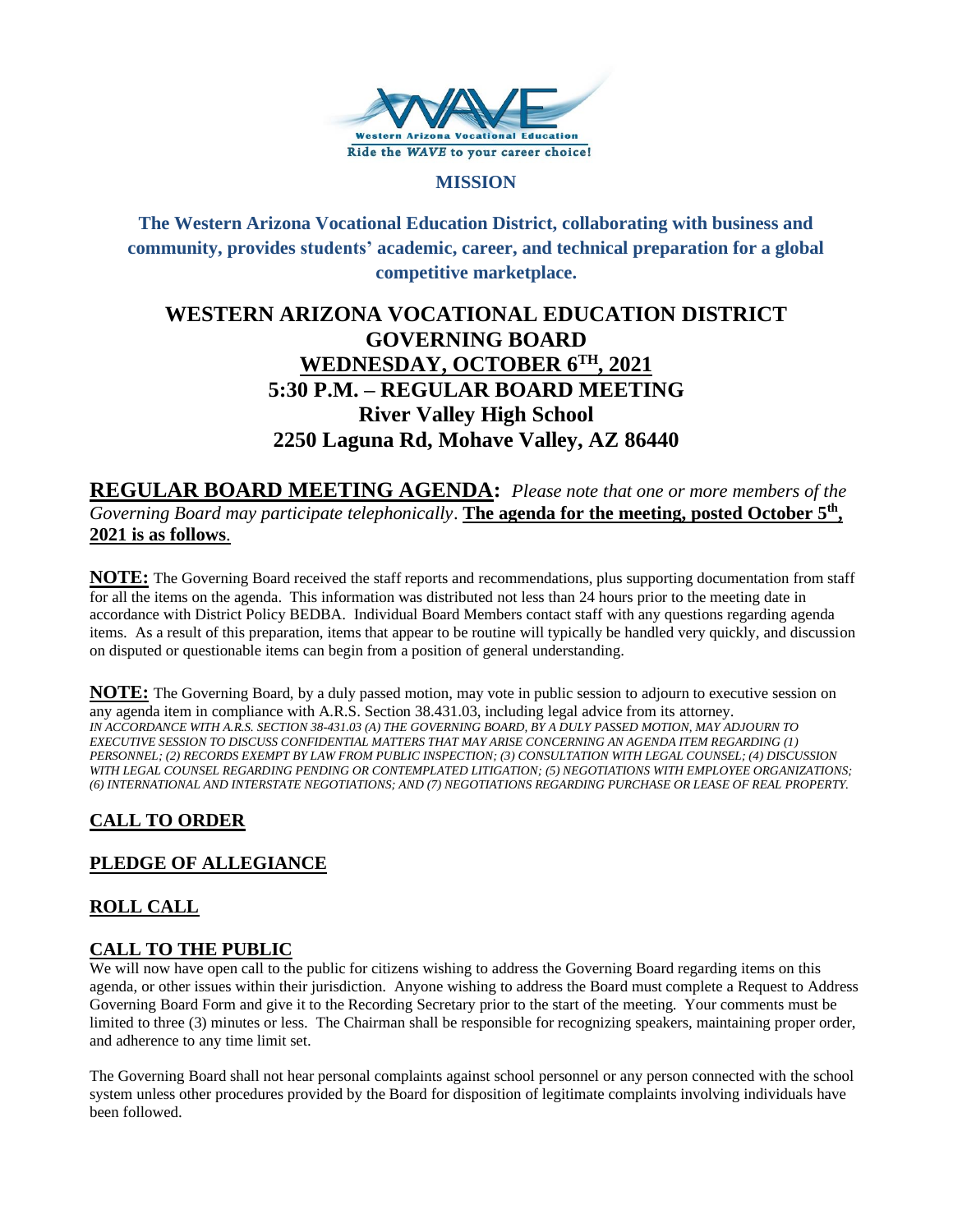

#### **MISSION**

**The Western Arizona Vocational Education District, collaborating with business and community, provides students' academic, career, and technical preparation for a global competitive marketplace.**

# **WESTERN ARIZONA VOCATIONAL EDUCATION DISTRICT GOVERNING BOARD WEDNESDAY, OCTOBER 6TH , 2021 5:30 P.M. – REGULAR BOARD MEETING River Valley High School 2250 Laguna Rd, Mohave Valley, AZ 86440**

**REGULAR BOARD MEETING AGENDA:** *Please note that one or more members of the Governing Board may participate telephonically*. **The agenda for the meeting, posted October 5th , 2021 is as follows**.

**NOTE:** The Governing Board received the staff reports and recommendations, plus supporting documentation from staff for all the items on the agenda. This information was distributed not less than 24 hours prior to the meeting date in accordance with District Policy BEDBA. Individual Board Members contact staff with any questions regarding agenda items. As a result of this preparation, items that appear to be routine will typically be handled very quickly, and discussion on disputed or questionable items can begin from a position of general understanding.

**NOTE:** The Governing Board, by a duly passed motion, may vote in public session to adjourn to executive session on any agenda item in compliance with A.R.S. Section 38.431.03, including legal advice from its attorney. *IN ACCORDANCE WITH A.R.S. SECTION 38-431.03 (A) THE GOVERNING BOARD, BY A DULY PASSED MOTION, MAY ADJOURN TO EXECUTIVE SESSION TO DISCUSS CONFIDENTIAL MATTERS THAT MAY ARISE CONCERNING AN AGENDA ITEM REGARDING (1) PERSONNEL; (2) RECORDS EXEMPT BY LAW FROM PUBLIC INSPECTION; (3) CONSULTATION WITH LEGAL COUNSEL; (4) DISCUSSION WITH LEGAL COUNSEL REGARDING PENDING OR CONTEMPLATED LITIGATION; (5) NEGOTIATIONS WITH EMPLOYEE ORGANIZATIONS; (6) INTERNATIONAL AND INTERSTATE NEGOTIATIONS; AND (7) NEGOTIATIONS REGARDING PURCHASE OR LEASE OF REAL PROPERTY.*

# **CALL TO ORDER**

# **PLEDGE OF ALLEGIANCE**

# **ROLL CALL**

# **CALL TO THE PUBLIC**

We will now have open call to the public for citizens wishing to address the Governing Board regarding items on this agenda, or other issues within their jurisdiction. Anyone wishing to address the Board must complete a Request to Address Governing Board Form and give it to the Recording Secretary prior to the start of the meeting. Your comments must be limited to three (3) minutes or less. The Chairman shall be responsible for recognizing speakers, maintaining proper order, and adherence to any time limit set.

The Governing Board shall not hear personal complaints against school personnel or any person connected with the school system unless other procedures provided by the Board for disposition of legitimate complaints involving individuals have been followed.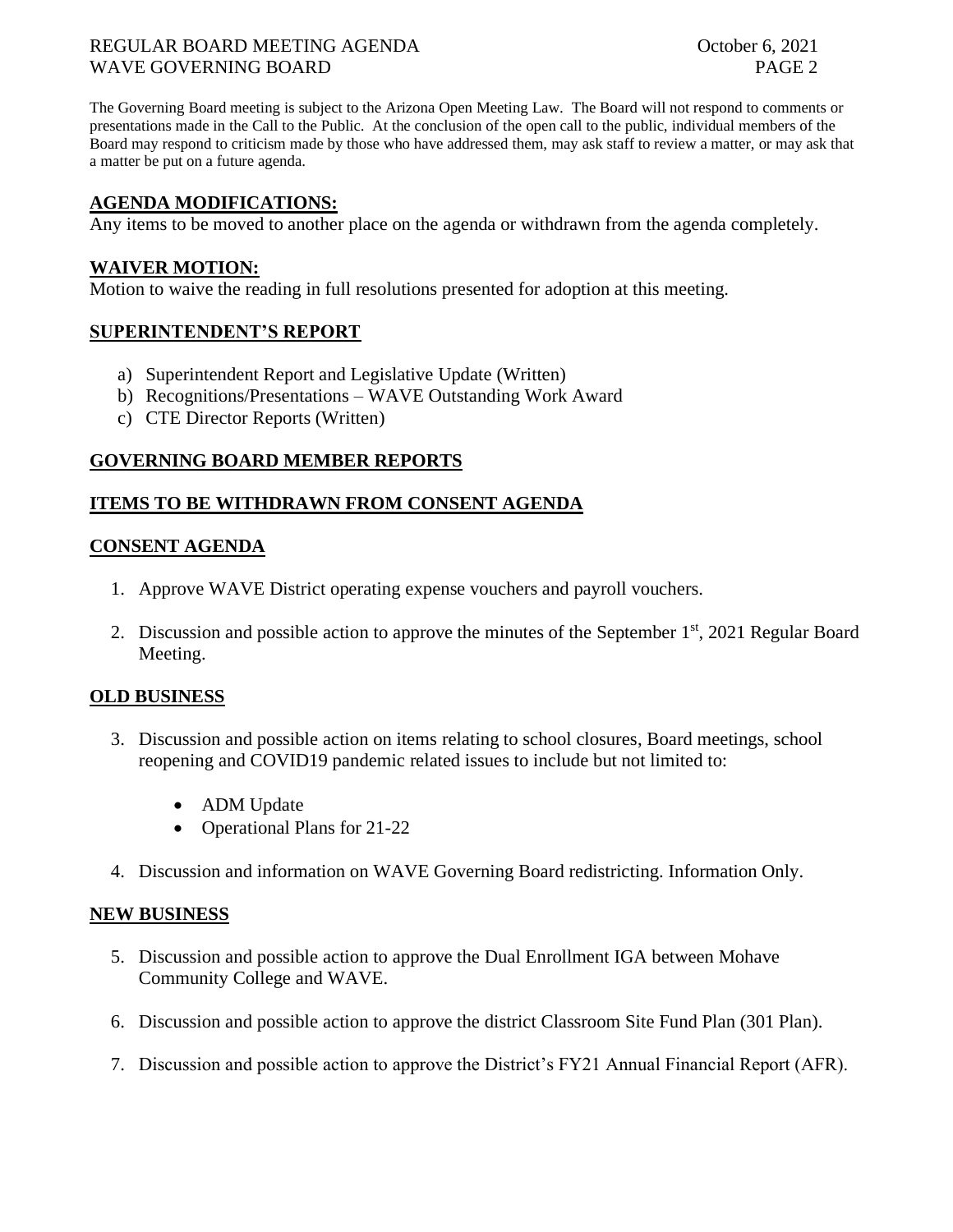## REGULAR BOARD MEETING AGENDA **October 6, 2021** WAVE GOVERNING BOARD PAGE 2

The Governing Board meeting is subject to the Arizona Open Meeting Law. The Board will not respond to comments or presentations made in the Call to the Public. At the conclusion of the open call to the public, individual members of the Board may respond to criticism made by those who have addressed them, may ask staff to review a matter, or may ask that a matter be put on a future agenda.

## **AGENDA MODIFICATIONS:**

Any items to be moved to another place on the agenda or withdrawn from the agenda completely.

#### **WAIVER MOTION:**

Motion to waive the reading in full resolutions presented for adoption at this meeting.

#### **SUPERINTENDENT'S REPORT**

- a) Superintendent Report and Legislative Update (Written)
- b) Recognitions/Presentations WAVE Outstanding Work Award
- c) CTE Director Reports (Written)

# **GOVERNING BOARD MEMBER REPORTS**

## **ITEMS TO BE WITHDRAWN FROM CONSENT AGENDA**

## **CONSENT AGENDA**

- 1. Approve WAVE District operating expense vouchers and payroll vouchers.
- 2. Discussion and possible action to approve the minutes of the September  $1<sup>st</sup>$ , 2021 Regular Board Meeting.

#### **OLD BUSINESS**

- 3. Discussion and possible action on items relating to school closures, Board meetings, school reopening and COVID19 pandemic related issues to include but not limited to:
	- ADM Update
	- Operational Plans for 21-22
- 4. Discussion and information on WAVE Governing Board redistricting. Information Only.

#### **NEW BUSINESS**

- 5. Discussion and possible action to approve the Dual Enrollment IGA between Mohave Community College and WAVE.
- 6. Discussion and possible action to approve the district Classroom Site Fund Plan (301 Plan).
- 7. Discussion and possible action to approve the District's FY21 Annual Financial Report (AFR).